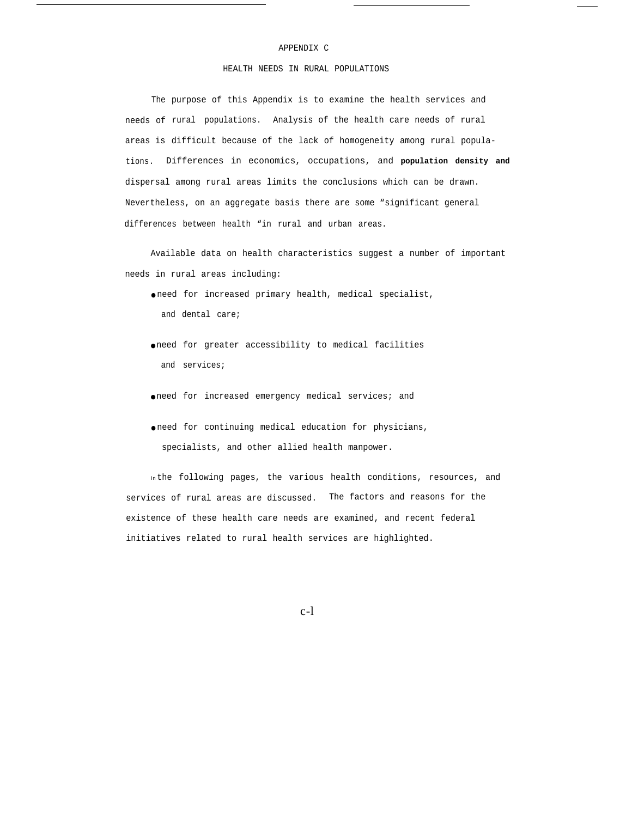## APPENDIX C

# HEALTH NEEDS IN RURAL POPULATIONS

The purpose of this Appendix is to examine the health services and needs of rural populations. Analysis of the health care needs of rural areas is difficult because of the lack of homogeneity among rural populations. Differences in economics, occupations, and **population density and** dispersal among rural areas limits the conclusions which can be drawn. Nevertheless, on an aggregate basis there are some "significant general differences between health "in rural and urban areas.

Available data on health characteristics suggest a number of important needs in rural areas including:

- need for increased primary health, medical specialist, and dental care;
- need for greater accessibility to medical facilities and services;
- need for increased emergency medical services; and
- need for continuing medical education for physicians, specialists, and other allied health manpower.

In the following pages, the various health conditions, resources, and services of rural areas are discussed. The factors and reasons for the existence of these health care needs are examined, and recent federal initiatives related to rural health services are highlighted.

c-l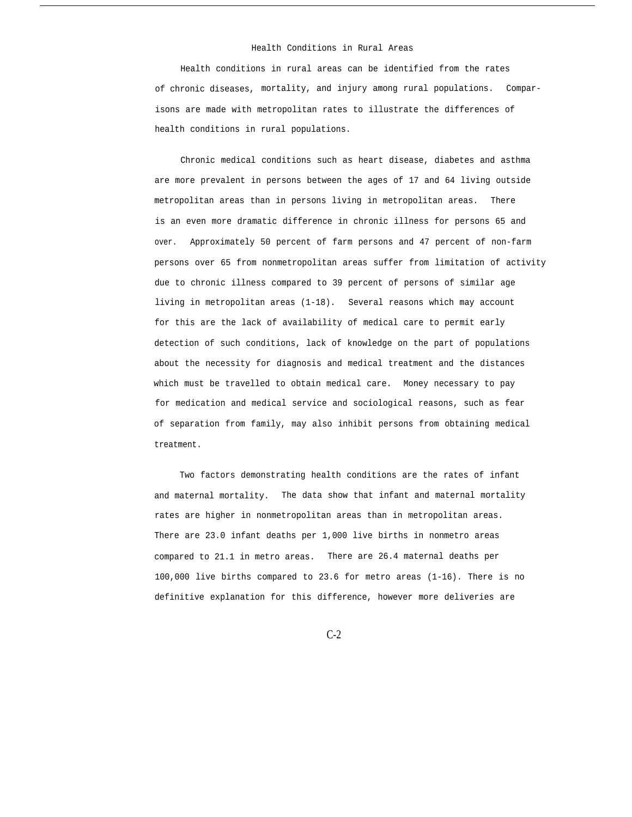## Health Conditions in Rural Areas

Health conditions in rural areas can be identified from the rates of chronic diseases, mortality, and injury among rural populations. Comparisons are made with metropolitan rates to illustrate the differences of health conditions in rural populations.

Chronic medical conditions such as heart disease, diabetes and asthma are more prevalent in persons between the ages of 17 and 64 living outside metropolitan areas than in persons living in metropolitan areas. There is an even more dramatic difference in chronic illness for persons 65 and over. Approximately 50 percent of farm persons and 47 percent of non-farm persons over 65 from nonmetropolitan areas suffer from limitation of activity due to chronic illness compared to 39 percent of persons of similar age living in metropolitan areas (1-18). Several reasons which may account for this are the lack of availability of medical care to permit early detection of such conditions, lack of knowledge on the part of populations about the necessity for diagnosis and medical treatment and the distances which must be travelled to obtain medical care. Money necessary to pay for medication and medical service and sociological reasons, such as fear of separation from family, may also inhibit persons from obtaining medical treatment.

Two factors demonstrating health conditions are the rates of infant and maternal mortality. The data show that infant and maternal mortality rates are higher in nonmetropolitan areas than in metropolitan areas. There are 23.0 infant deaths per 1,000 live births in nonmetro areas compared to 21.1 in metro areas. There are 26.4 maternal deaths per 100,000 live births compared to 23.6 for metro areas (1-16). There is no definitive explanation for this difference, however more deliveries are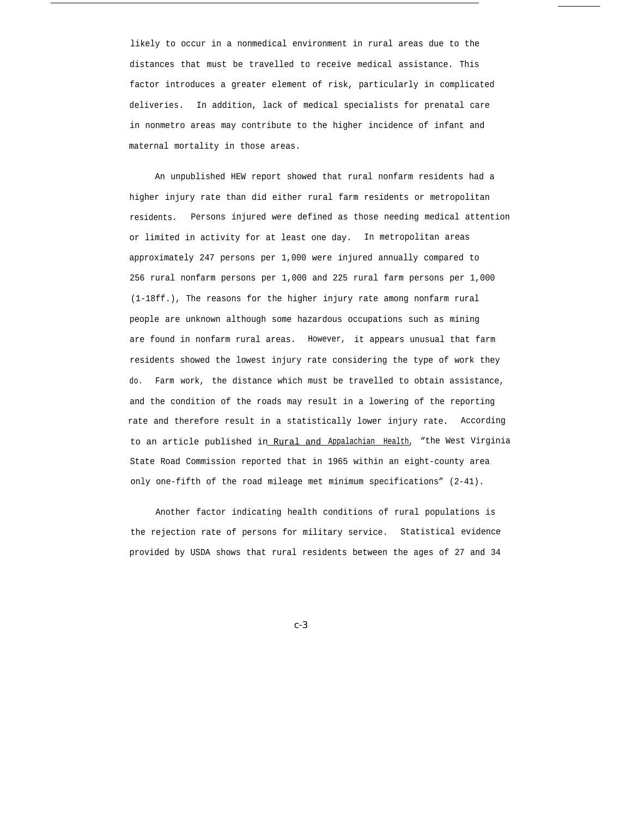likely to occur in a nonmedical environment in rural areas due to the distances that must be travelled to receive medical assistance. This factor introduces a greater element of risk, particularly in complicated deliveries. In addition, lack of medical specialists for prenatal care in nonmetro areas may contribute to the higher incidence of infant and maternal mortality in those areas.

An unpublished HEW report showed that rural nonfarm residents had a higher injury rate than did either rural farm residents or metropolitan residents. Persons injured were defined as those needing medical attention or limited in activity for at least one day. In metropolitan areas approximately 247 persons per 1,000 were injured annually compared to 256 rural nonfarm persons per 1,000 and 225 rural farm persons per 1,000 (1-18ff.), The reasons for the higher injury rate among nonfarm rural people are unknown although some hazardous occupations such as mining are found in nonfarm rural areas. However, it appears unusual that farm residents showed the lowest injury rate considering the type of work they do. Farm work, the distance which must be travelled to obtain assistance, and the condition of the roads may result in a lowering of the reporting rate and therefore result in a statistically lower injury rate. According to an article published in Rural and Appalachian Health, "the West Virginia State Road Commission reported that in 1965 within an eight-county area only one-fifth of the road mileage met minimum specifications" (2-41).

Another factor indicating health conditions of rural populations is the rejection rate of persons for military service. Statistical evidence provided by USDA shows that rural residents between the ages of 27 and 34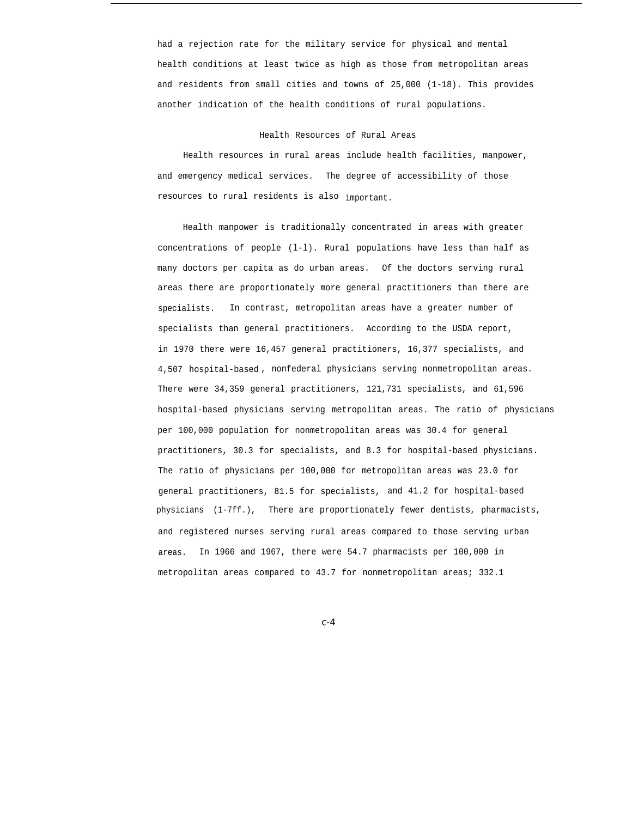had a rejection rate for the military service for physical and mental health conditions at least twice as high as those from metropolitan areas and residents from small cities and towns of 25,000 (1-18). This provides another indication of the health conditions of rural populations.

#### Health Resources of Rural Areas

Health resources in rural areas include health facilities, manpower, and emergency medical services. The degree of accessibility of those resources to rural residents is also important.

Health manpower is traditionally concentrated in areas with greater concentrations of people (l-l). Rural populations have less than half as many doctors per capita as do urban areas. Of the doctors serving rural areas there are proportionately more general practitioners than there are specialists. In contrast, metropolitan areas have a greater number of specialists than general practitioners. According to the USDA report, in 1970 there were 16,457 general practitioners, 16,377 specialists, and 4,507 hospital-based , nonfederal physicians serving nonmetropolitan areas. There were 34,359 general practitioners, 121,731 specialists, and 61,596 hospital-based physicians serving metropolitan areas. The ratio of physicians per 100,000 population for nonmetropolitan areas was 30.4 for general practitioners, 30.3 for specialists, and 8.3 for hospital-based physicians. The ratio of physicians per 100,000 for metropolitan areas was 23.0 for general practitioners, 81.5 for specialists, and 41.2 for hospital-based physicians (1-7ff.), There are proportionately fewer dentists, pharmacists, and registered nurses serving rural areas compared to those serving urban areas. In 1966 and 1967, there were 54.7 pharmacists per 100,000 in metropolitan areas compared to 43.7 for nonmetropolitan areas; 332.1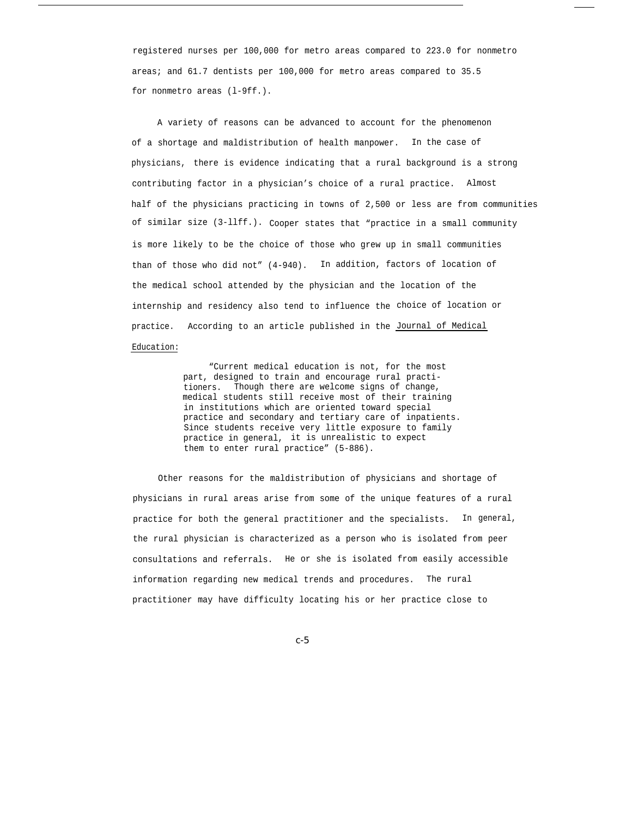registered nurses per 100,000 for metro areas compared to 223.0 for nonmetro areas; and 61.7 dentists per 100,000 for metro areas compared to 35.5 for nonmetro areas (l-9ff.).

A variety of reasons can be advanced to account for the phenomenon of a shortage and maldistribution of health manpower. In the case of physicians, there is evidence indicating that a rural background is a strong contributing factor in a physician's choice of a rural practice. Almost half of the physicians practicing in towns of 2,500 or less are from communities of similar size (3-llff.). Cooper states that "practice in a small community is more likely to be the choice of those who grew up in small communities than of those who did not" (4-940). In addition, factors of location of the medical school attended by the physician and the location of the internship and residency also tend to influence the choice of location or practice. According to an article published in the <u>Journal of Medical</u>

Education:

"Current medical education is not, for the most part, designed to train and encourage rural practitioners. Though there are welcome signs of change, medical students still receive most of their training in institutions which are oriented toward special practice and secondary and tertiary care of inpatients. Since students receive very little exposure to family practice in general, it is unrealistic to expect them to enter rural practice" (5-886).

Other reasons for the maldistribution of physicians and shortage of physicians in rural areas arise from some of the unique features of a rural practice for both the general practitioner and the specialists. In general, the rural physician is characterized as a person who is isolated from peer consultations and referrals. He or she is isolated from easily accessible information regarding new medical trends and procedures. The rural practitioner may have difficulty locating his or her practice close to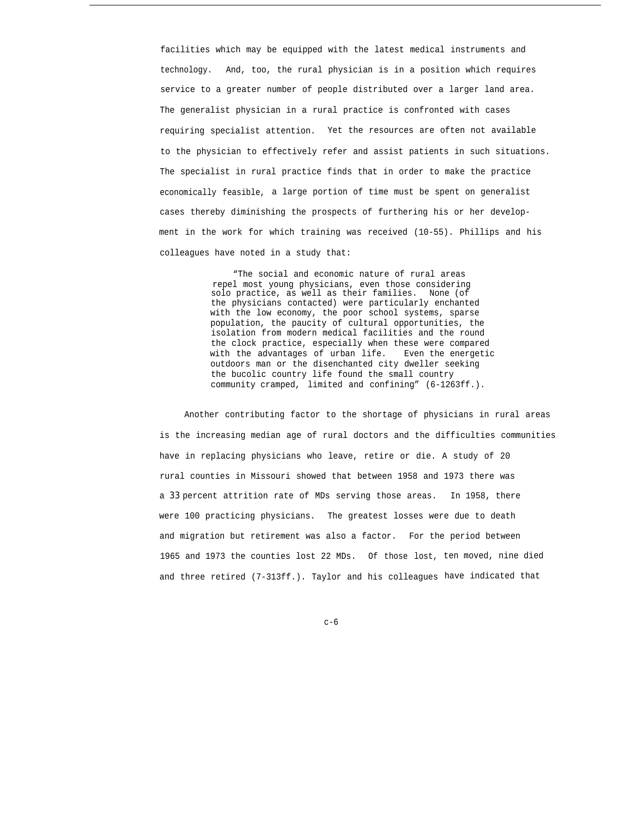facilities which may be equipped with the latest medical instruments and technology. And, too, the rural physician is in a position which requires service to a greater number of people distributed over a larger land area. The generalist physician in a rural practice is confronted with cases requiring specialist attention. Yet the resources are often not available to the physician to effectively refer and assist patients in such situations. The specialist in rural practice finds that in order to make the practice economically feasible, a large portion of time must be spent on generalist cases thereby diminishing the prospects of furthering his or her development in the work for which training was received (10-55). Phillips and his colleagues have noted in a study that:

> "The social and economic nature of rural areas repel most young physicians, even those considering solo practice, as well as their families. None (of the physicians contacted) were particularly enchanted with the low economy, the poor school systems, sparse population, the paucity of cultural opportunities, the isolation from modern medical facilities and the round the clock practice, especially when these were compared with the advantages of urban life. Even the energetic outdoors man or the disenchanted city dweller seeking the bucolic country life found the small country community cramped, limited and confining" (6-1263ff.).

Another contributing factor to the shortage of physicians in rural areas is the increasing median age of rural doctors and the difficulties communities have in replacing physicians who leave, retire or die. A study of 20 rural counties in Missouri showed that between 1958 and 1973 there was a *33* percent attrition rate of MDs serving those areas. In 1958, there were 100 practicing physicians. The greatest losses were due to death and migration but retirement was also a factor. For the period between 1965 and 1973 the counties lost 22 MDs. Of those lost, ten moved, nine died and three retired (7-313ff.). Taylor and his colleagues have indicated that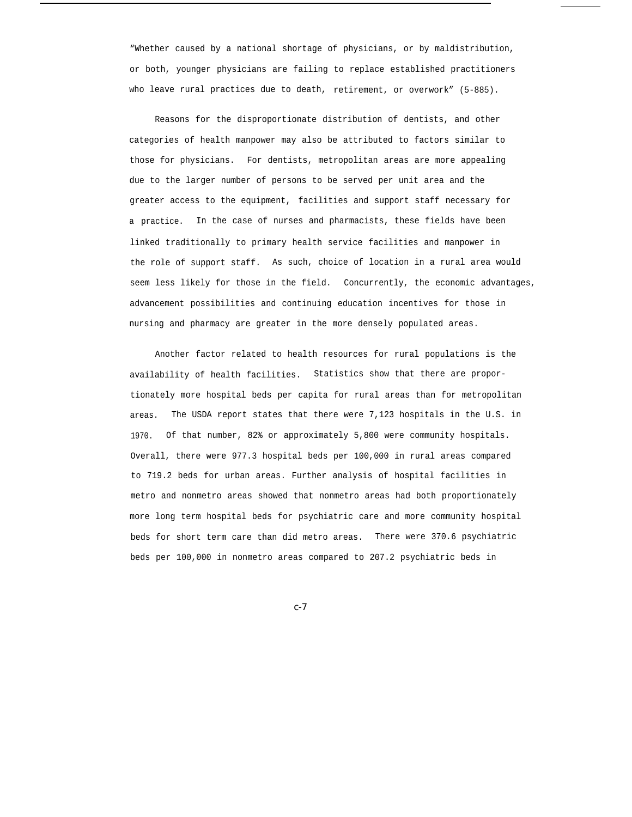"Whether caused by a national shortage of physicians, or by maldistribution, or both, younger physicians are failing to replace established practitioners who leave rural practices due to death, retirement, or overwork" (5-885).

Reasons for the disproportionate distribution of dentists, and other categories of health manpower may also be attributed to factors similar to those for physicians. For dentists, metropolitan areas are more appealing due to the larger number of persons to be served per unit area and the greater access to the equipment, facilities and support staff necessary for a practice. In the case of nurses and pharmacists, these fields have been linked traditionally to primary health service facilities and manpower in the role of support staff. As such, choice of location in a rural area would seem less likely for those in the field. Concurrently, the economic advantages, advancement possibilities and continuing education incentives for those in nursing and pharmacy are greater in the more densely populated areas.

Another factor related to health resources for rural populations is the availability of health facilities. Statistics show that there are proportionately more hospital beds per capita for rural areas than for metropolitan areas. The USDA report states that there were 7,123 hospitals in the U.S. in 1970. Of that number, 82% or approximately 5,800 were community hospitals. Overall, there were 977.3 hospital beds per 100,000 in rural areas compared to 719.2 beds for urban areas. Further analysis of hospital facilities in metro and nonmetro areas showed that nonmetro areas had both proportionately more long term hospital beds for psychiatric care and more community hospital beds for short term care than did metro areas. There were 370.6 psychiatric beds per 100,000 in nonmetro areas compared to 207.2 psychiatric beds in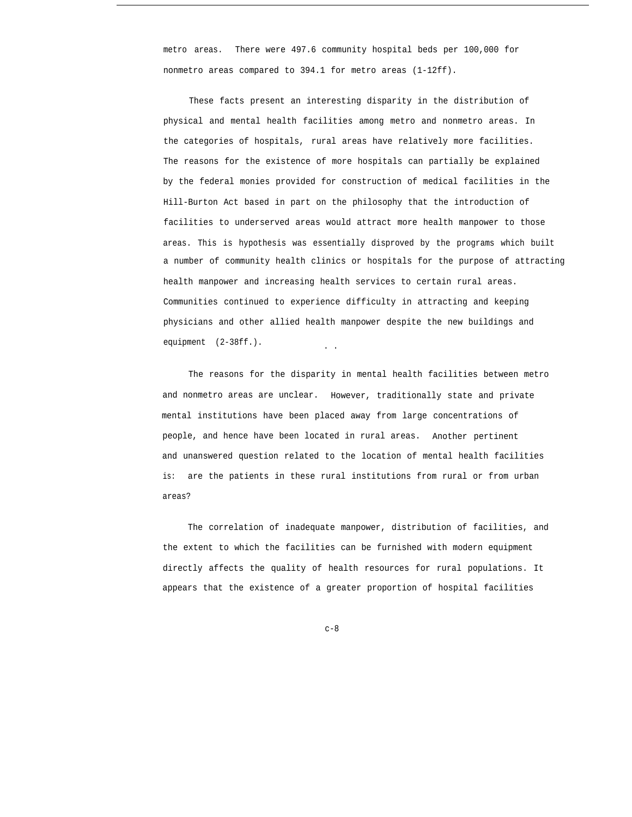metro areas. There were 497.6 community hospital beds per 100,000 for nonmetro areas compared to 394.1 for metro areas (1-12ff).

These facts present an interesting disparity in the distribution of physical and mental health facilities among metro and nonmetro areas. In the categories of hospitals, rural areas have relatively more facilities. The reasons for the existence of more hospitals can partially be explained by the federal monies provided for construction of medical facilities in the Hill-Burton Act based in part on the philosophy that the introduction of facilities to underserved areas would attract more health manpower to those areas. This is hypothesis was essentially disproved by the programs which built a number of community health clinics or hospitals for the purpose of attracting health manpower and increasing health services to certain rural areas. Communities continued to experience difficulty in attracting and keeping physicians and other allied health manpower despite the new buildings and equipment (2-38ff.).

The reasons for the disparity in mental health facilities between metro and nonmetro areas are unclear. However, traditionally state and private mental institutions have been placed away from large concentrations of people, and hence have been located in rural areas. Another pertinent and unanswered question related to the location of mental health facilities is: are the patients in these rural institutions from rural or from urban areas?

The correlation of inadequate manpower, distribution of facilities, and the extent to which the facilities can be furnished with modern equipment directly affects the quality of health resources for rural populations. It appears that the existence of a greater proportion of hospital facilities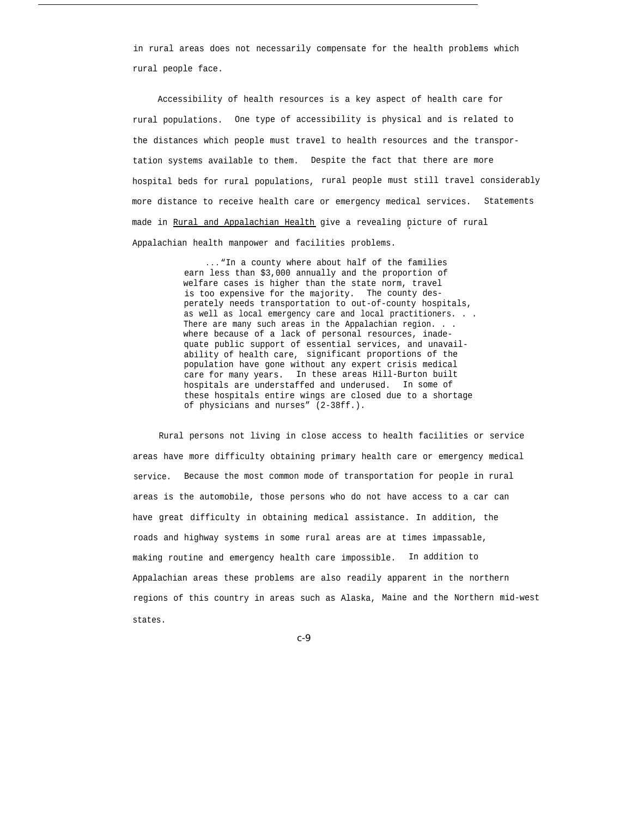in rural areas does not necessarily compensate for the health problems which rural people face.

Accessibility of health resources is a key aspect of health care for rural populations. One type of accessibility is physical and is related to the distances which people must travel to health resources and the transportation systems available to them. Despite the fact that there are more hospital beds for rural populations, rural people must still travel considerably more distance to receive health care or emergency medical services. Statements made in Rural and Appalachian Health give a revealing picture of rural Appalachian health manpower and facilities problems.

> . . . "In a county where about half of the families earn less than \$3,000 annually and the proportion of welfare cases is higher than the state norm, travel is too expensive for the majority. The county desperately needs transportation to out-of-county hospitals, as well as local emergency care and local practitioners. . . There are many such areas in the Appalachian region. . . where because of a lack of personal resources, inadequate public support of essential services, and unavailability of health care, significant proportions of the population have gone without any expert crisis medical care for many years. In these areas Hill-Burton built hospitals are understaffed and underused. In some of these hospitals entire wings are closed due to a shortage of physicians and nurses" (2-38ff.).

Rural persons not living in close access to health facilities or service areas have more difficulty obtaining primary health care or emergency medical service. Because the most common mode of transportation for people in rural areas is the automobile, those persons who do not have access to a car can have great difficulty in obtaining medical assistance. In addition, the roads and highway systems in some rural areas are at times impassable, making routine and emergency health care impossible. In addition to Appalachian areas these problems are also readily apparent in the northern regions of this country in areas such as Alaska, Maine and the Northern mid-west states.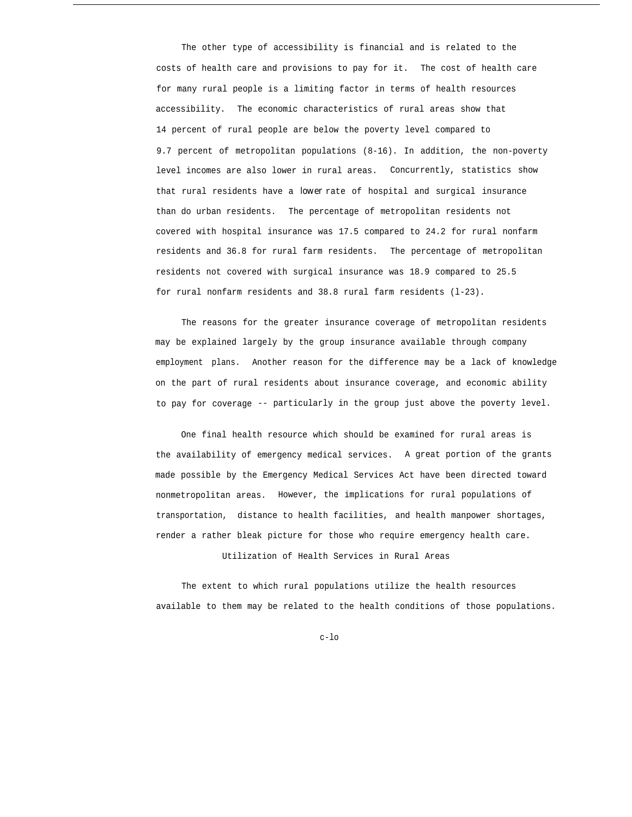The other type of accessibility is financial and is related to the costs of health care and provisions to pay for it. The cost of health care for many rural people is a limiting factor in terms of health resources accessibility. The economic characteristics of rural areas show that 14 percent of rural people are below the poverty level compared to 9.7 percent of metropolitan populations (8-16). In addition, the non-poverty level incomes are also lower in rural areas. Concurrently, statistics show that rural residents have a *lower* rate of hospital and surgical insurance than do urban residents. The percentage of metropolitan residents not covered with hospital insurance was 17.5 compared to 24.2 for rural nonfarm residents and 36.8 for rural farm residents. The percentage of metropolitan residents not covered with surgical insurance was 18.9 compared to 25.5 for rural nonfarm residents and 38.8 rural farm residents (l-23).

The reasons for the greater insurance coverage of metropolitan residents may be explained largely by the group insurance available through company employment plans. Another reason for the difference may be a lack of knowledge on the part of rural residents about insurance coverage, and economic ability to pay for coverage -- particularly in the group just above the poverty level.

One final health resource which should be examined for rural areas is the availability of emergency medical services. A great portion of the grants made possible by the Emergency Medical Services Act have been directed toward nonmetropolitan areas. However, the implications for rural populations of transportation, distance to health facilities, and health manpower shortages, render a rather bleak picture for those who require emergency health care.

Utilization of Health Services in Rural Areas

The extent to which rural populations utilize the health resources available to them may be related to the health conditions of those populations.

c-lo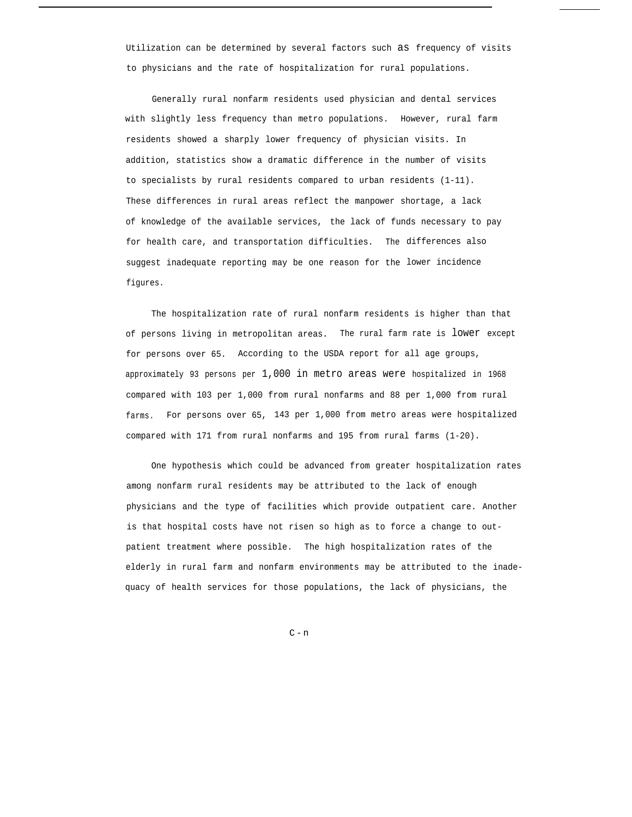Utilization can be determined by several factors such as frequency of visits to physicians and the rate of hospitalization for rural populations.

Generally rural nonfarm residents used physician and dental services with slightly less frequency than metro populations. However, rural farm residents showed a sharply lower frequency of physician visits. In addition, statistics show a dramatic difference in the number of visits to specialists by rural residents compared to urban residents (1-11). These differences in rural areas reflect the manpower shortage, a lack of knowledge of the available services, the lack of funds necessary to pay for health care, and transportation difficulties. The differences also suggest inadequate reporting may be one reason for the lower incidence figures.

The hospitalization rate of rural nonfarm residents is higher than that of persons living in metropolitan areas. The rural farm rate is lower except for persons over 65. According to the USDA report for all age groups, approximately 93 persons per 1,000 in metro areas were hospitalized in 1968 compared with 103 per 1,000 from rural nonfarms and 88 per 1,000 from rural farms. For persons over 65, 143 per 1,000 from metro areas were hospitalized compared with 171 from rural nonfarms and 195 from rural farms (1-20).

One hypothesis which could be advanced from greater hospitalization rates among nonfarm rural residents may be attributed to the lack of enough physicians and the type of facilities which provide outpatient care. Another is that hospital costs have not risen so high as to force a change to outpatient treatment where possible. The high hospitalization rates of the elderly in rural farm and nonfarm environments may be attributed to the inadequacy of health services for those populations, the lack of physicians, the

 $\mathtt{C-n}$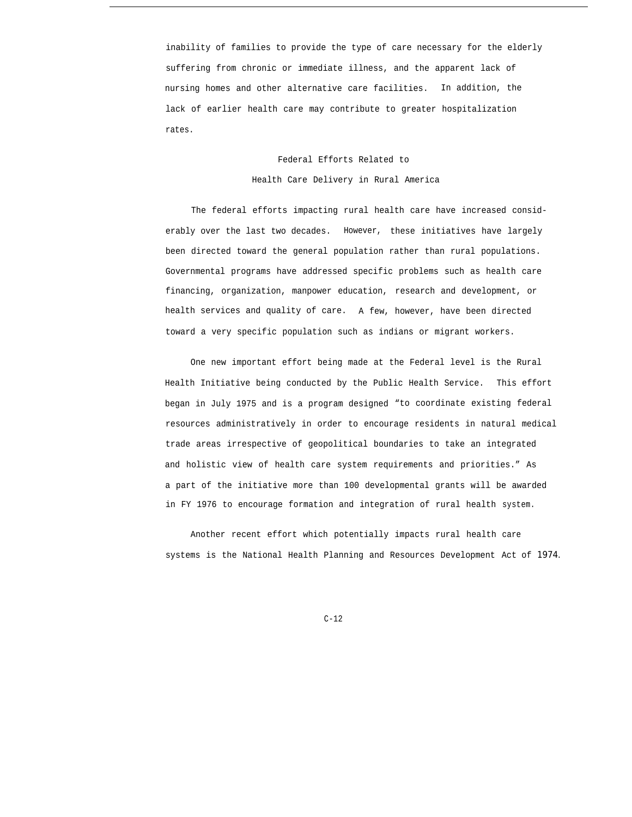inability of families to provide the type of care necessary for the elderly suffering from chronic or immediate illness, and the apparent lack of nursing homes and other alternative care facilities. In addition, the lack of earlier health care may contribute to greater hospitalization rates.

# Federal Efforts Related to Health Care Delivery in Rural America

The federal efforts impacting rural health care have increased considerably over the last two decades. However, these initiatives have largely been directed toward the general population rather than rural populations. Governmental programs have addressed specific problems such as health care financing, organization, manpower education, research and development, or health services and quality of care. A few, however, have been directed toward a very specific population such as indians or migrant workers.

One new important effort being made at the Federal level is the Rural Health Initiative being conducted by the Public Health Service. This effort began in July 1975 and is a program designed "to coordinate existing federal resources administratively in order to encourage residents in natural medical trade areas irrespective of geopolitical boundaries to take an integrated and holistic view of health care system requirements and priorities." As a part of the initiative more than 100 developmental grants will be awarded in FY 1976 to encourage formation and integration of rural health system.

Another recent effort which potentially impacts rural health care systems is the National Health Planning and Resources Development Act of *1974.*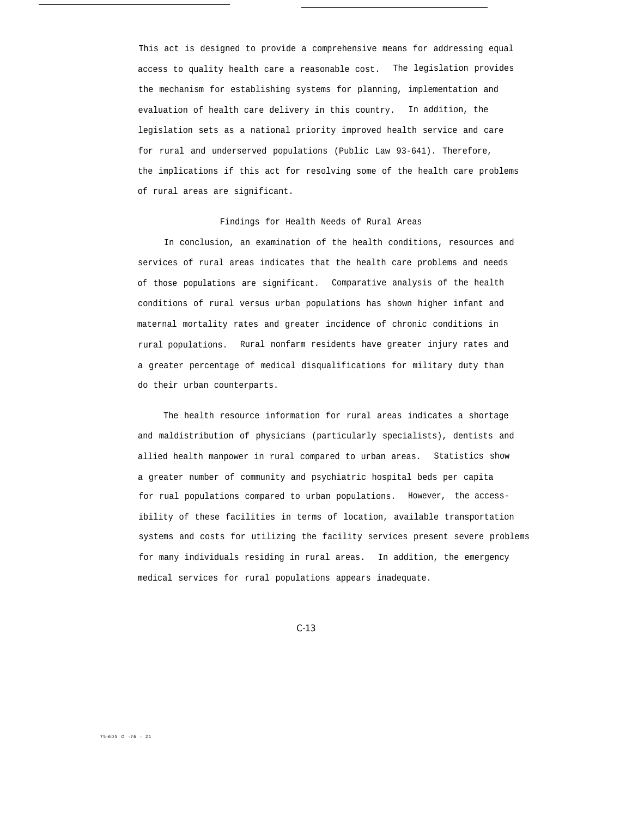This act is designed to provide a comprehensive means for addressing equal access to quality health care a reasonable cost. The legislation provides the mechanism for establishing systems for planning, implementation and evaluation of health care delivery in this country. In addition, the legislation sets as a national priority improved health service and care for rural and underserved populations (Public Law 93-641). Therefore, the implications if this act for resolving some of the health care problems of rural areas are significant.

# Findings for Health Needs of Rural Areas

In conclusion, an examination of the health conditions, resources and services of rural areas indicates that the health care problems and needs of those populations are significant. Comparative analysis of the health conditions of rural versus urban populations has shown higher infant and maternal mortality rates and greater incidence of chronic conditions in rural populations. Rural nonfarm residents have greater injury rates and a greater percentage of medical disqualifications for military duty than do their urban counterparts.

The health resource information for rural areas indicates a shortage and maldistribution of physicians (particularly specialists), dentists and allied health manpower in rural compared to urban areas. Statistics show a greater number of community and psychiatric hospital beds per capita for rual populations compared to urban populations. However, the accessibility of these facilities in terms of location, available transportation systems and costs for utilizing the facility services present severe problems for many individuals residing in rural areas. In addition, the emergency medical services for rural populations appears inadequate.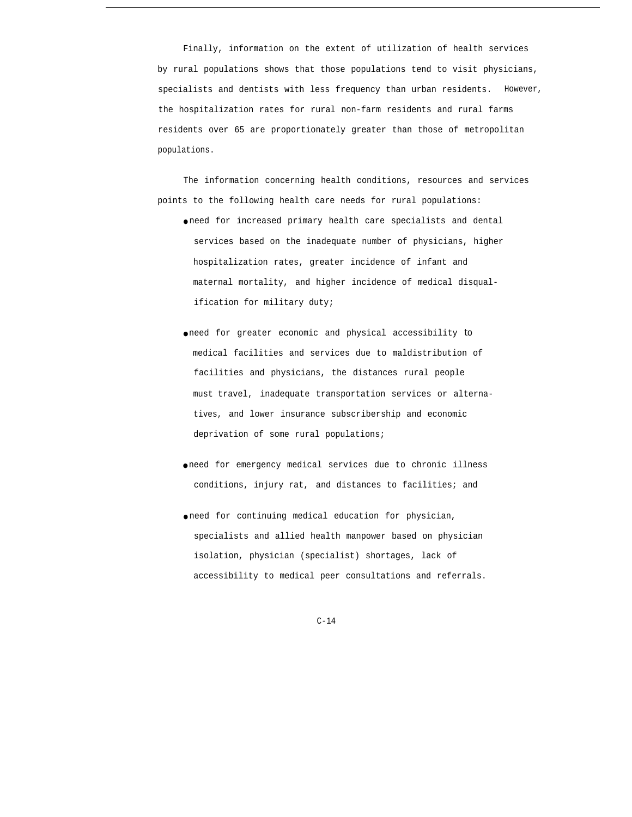Finally, information on the extent of utilization of health services by rural populations shows that those populations tend to visit physicians, specialists and dentists with less frequency than urban residents. However, the hospitalization rates for rural non-farm residents and rural farms residents over 65 are proportionately greater than those of metropolitan populations.

The information concerning health conditions, resources and services points to the following health care needs for rural populations:

- need for increased primary health care specialists and dental services based on the inadequate number of physicians, higher hospitalization rates, greater incidence of infant and maternal mortality, and higher incidence of medical disqualification for military duty;
- need for greater economic and physical accessibility *to* medical facilities and services due to maldistribution of facilities and physicians, the distances rural people must travel, inadequate transportation services or alternatives, and lower insurance subscribership and economic deprivation of some rural populations;
- need for emergency medical services due to chronic illness conditions, injury rat, and distances to facilities; and
- need for continuing medical education for physician, specialists and allied health manpower based on physician isolation, physician (specialist) shortages, lack of accessibility to medical peer consultations and referrals.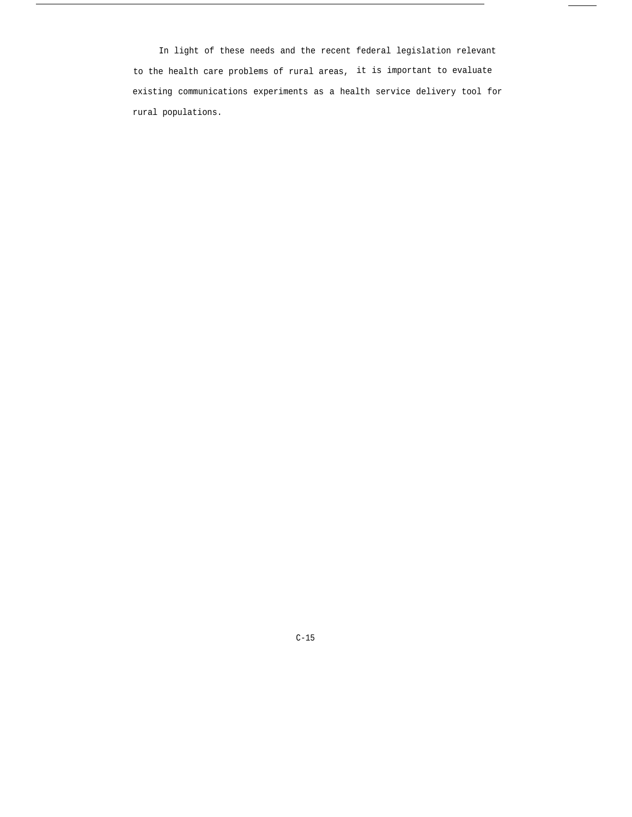In light of these needs and the recent federal legislation relevant to the health care problems of rural areas, it is important to evaluate existing communications experiments as a health service delivery tool for rural populations.